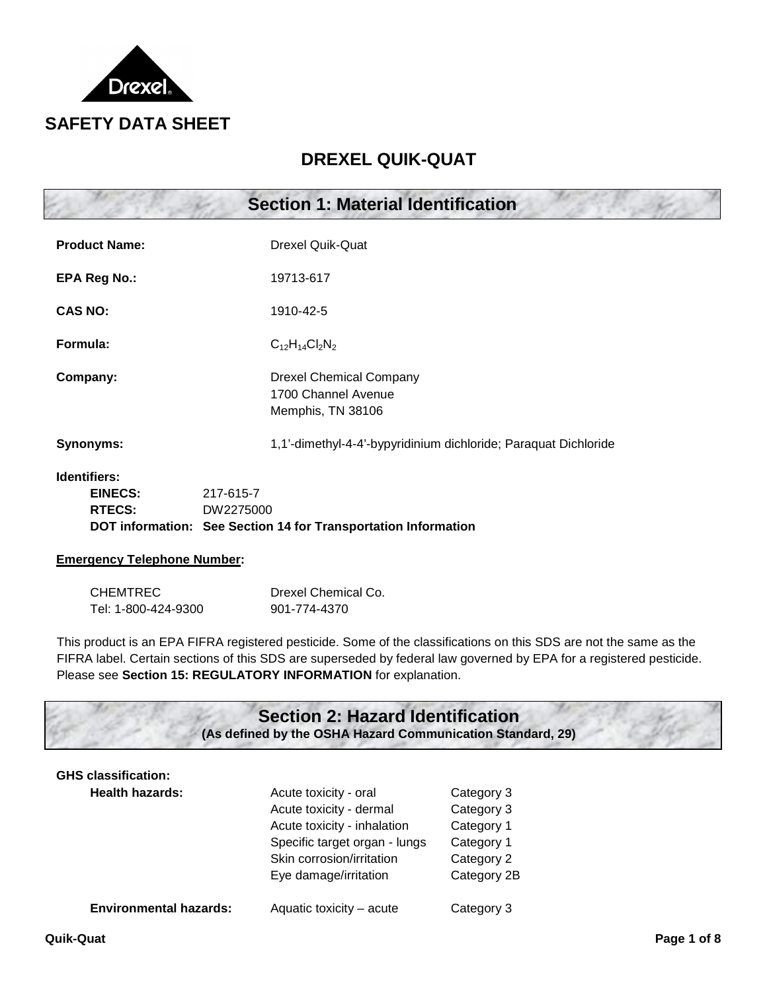

# **DREXEL QUIK-QUAT**

|                                                        | <b>Section 1: Material Identification</b>                                                                                                                                                                                                                                                                   |
|--------------------------------------------------------|-------------------------------------------------------------------------------------------------------------------------------------------------------------------------------------------------------------------------------------------------------------------------------------------------------------|
| <b>Product Name:</b>                                   | <b>Drexel Quik-Quat</b>                                                                                                                                                                                                                                                                                     |
| <b>EPA Reg No.:</b>                                    | 19713-617                                                                                                                                                                                                                                                                                                   |
| <b>CAS NO:</b>                                         | 1910-42-5                                                                                                                                                                                                                                                                                                   |
| Formula:                                               | $C_{12}H_{14}Cl_2N_2$                                                                                                                                                                                                                                                                                       |
| Company:                                               | <b>Drexel Chemical Company</b><br>1700 Channel Avenue<br>Memphis, TN 38106                                                                                                                                                                                                                                  |
| Synonyms:                                              | 1,1'-dimethyl-4-4'-bypyridinium dichloride; Paraquat Dichloride                                                                                                                                                                                                                                             |
| <b>Identifiers:</b><br><b>EINECS:</b><br><b>RTECS:</b> | 217-615-7<br>DW2275000<br>DOT information: See Section 14 for Transportation Information                                                                                                                                                                                                                    |
| <b>Emergency Telephone Number:</b>                     |                                                                                                                                                                                                                                                                                                             |
| <b>CHEMTREC</b><br>Tel: 1-800-424-9300                 | Drexel Chemical Co.<br>901-774-4370                                                                                                                                                                                                                                                                         |
|                                                        | This product is an EPA FIFRA registered pesticide. Some of the classifications on this SDS are not the same as the<br>FIFRA label. Certain sections of this SDS are superseded by federal law governed by EPA for a registered pesticide.<br>Please see Section 15: REGULATORY INFORMATION for explanation. |

## **Section 2: Hazard Identification (As defined by the OSHA Hazard Communication Standard, 29)**

## **GHS classification:**

| <b>Health hazards:</b>        | Acute toxicity - oral         | Category 3  |
|-------------------------------|-------------------------------|-------------|
|                               | Acute toxicity - dermal       | Category 3  |
|                               | Acute toxicity - inhalation   | Category 1  |
|                               | Specific target organ - lungs | Category 1  |
|                               | Skin corrosion/irritation     | Category 2  |
|                               | Eye damage/irritation         | Category 2B |
|                               |                               |             |
| <b>Environmental hazards:</b> | Aquatic toxicity - acute      | Category 3  |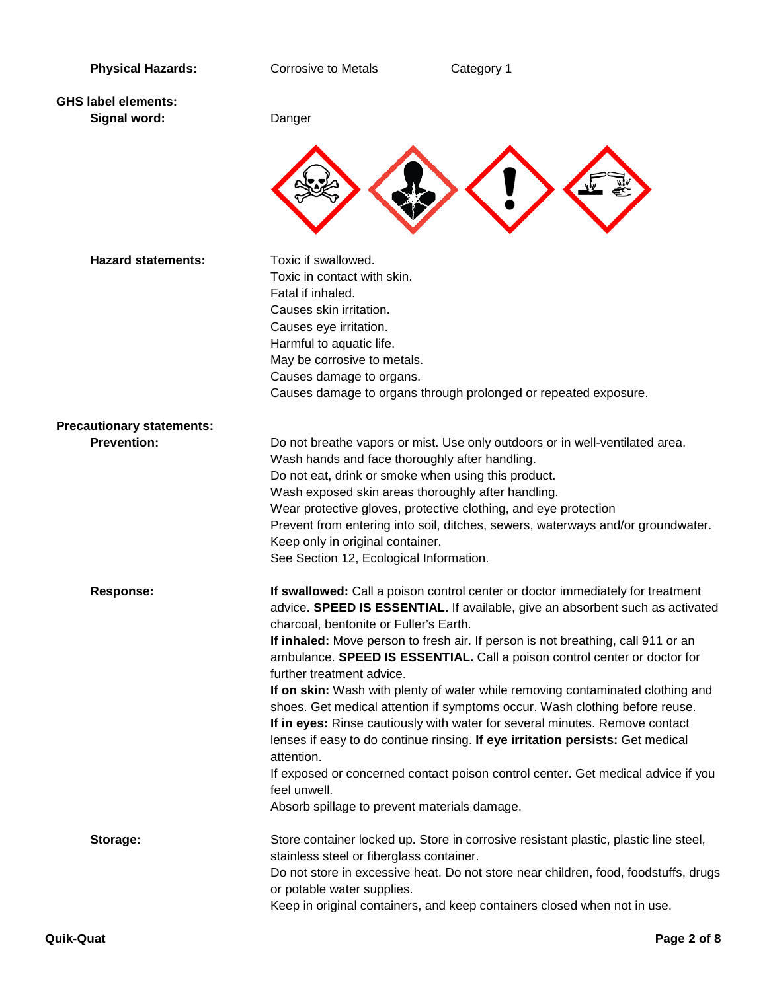| <b>Physical Hazards:</b>         | <b>Corrosive to Metals</b>                     | Category 1                                                                                                            |  |
|----------------------------------|------------------------------------------------|-----------------------------------------------------------------------------------------------------------------------|--|
|                                  |                                                |                                                                                                                       |  |
| <b>GHS label elements:</b>       |                                                |                                                                                                                       |  |
| Signal word:                     | Danger                                         |                                                                                                                       |  |
|                                  |                                                |                                                                                                                       |  |
|                                  |                                                |                                                                                                                       |  |
|                                  |                                                |                                                                                                                       |  |
|                                  |                                                |                                                                                                                       |  |
|                                  |                                                |                                                                                                                       |  |
|                                  |                                                |                                                                                                                       |  |
| <b>Hazard statements:</b>        | Toxic if swallowed.                            |                                                                                                                       |  |
|                                  | Toxic in contact with skin.                    |                                                                                                                       |  |
|                                  | Fatal if inhaled.                              |                                                                                                                       |  |
|                                  | Causes skin irritation.                        |                                                                                                                       |  |
|                                  | Causes eye irritation.                         |                                                                                                                       |  |
|                                  | Harmful to aquatic life.                       |                                                                                                                       |  |
|                                  | May be corrosive to metals.                    |                                                                                                                       |  |
|                                  | Causes damage to organs.                       |                                                                                                                       |  |
|                                  |                                                | Causes damage to organs through prolonged or repeated exposure.                                                       |  |
|                                  |                                                |                                                                                                                       |  |
| <b>Precautionary statements:</b> |                                                |                                                                                                                       |  |
| <b>Prevention:</b>               |                                                | Do not breathe vapors or mist. Use only outdoors or in well-ventilated area.                                          |  |
|                                  | Wash hands and face thoroughly after handling. |                                                                                                                       |  |
|                                  |                                                | Do not eat, drink or smoke when using this product.                                                                   |  |
|                                  |                                                | Wash exposed skin areas thoroughly after handling.<br>Wear protective gloves, protective clothing, and eye protection |  |
|                                  |                                                | Prevent from entering into soil, ditches, sewers, waterways and/or groundwater.                                       |  |
|                                  | Keep only in original container.               |                                                                                                                       |  |
|                                  | See Section 12, Ecological Information.        |                                                                                                                       |  |
|                                  |                                                |                                                                                                                       |  |
| <b>Response:</b>                 |                                                | If swallowed: Call a poison control center or doctor immediately for treatment                                        |  |
|                                  |                                                | advice. SPEED IS ESSENTIAL. If available, give an absorbent such as activated                                         |  |
|                                  | charcoal, bentonite or Fuller's Earth.         |                                                                                                                       |  |
|                                  |                                                | If inhaled: Move person to fresh air. If person is not breathing, call 911 or an                                      |  |
|                                  |                                                | ambulance. SPEED IS ESSENTIAL. Call a poison control center or doctor for                                             |  |
|                                  | further treatment advice.                      |                                                                                                                       |  |
|                                  |                                                | If on skin: Wash with plenty of water while removing contaminated clothing and                                        |  |
|                                  |                                                | shoes. Get medical attention if symptoms occur. Wash clothing before reuse.                                           |  |
|                                  |                                                | If in eyes: Rinse cautiously with water for several minutes. Remove contact                                           |  |
|                                  |                                                | lenses if easy to do continue rinsing. If eye irritation persists: Get medical                                        |  |
|                                  | attention.                                     |                                                                                                                       |  |
|                                  | feel unwell.                                   | If exposed or concerned contact poison control center. Get medical advice if you                                      |  |
|                                  | Absorb spillage to prevent materials damage.   |                                                                                                                       |  |
|                                  |                                                |                                                                                                                       |  |
| Storage:                         |                                                | Store container locked up. Store in corrosive resistant plastic, plastic line steel,                                  |  |
|                                  | stainless steel or fiberglass container.       |                                                                                                                       |  |
|                                  |                                                | Do not store in excessive heat. Do not store near children, food, foodstuffs, drugs                                   |  |
|                                  | or potable water supplies.                     |                                                                                                                       |  |
|                                  |                                                | Keep in original containers, and keep containers closed when not in use.                                              |  |
|                                  |                                                |                                                                                                                       |  |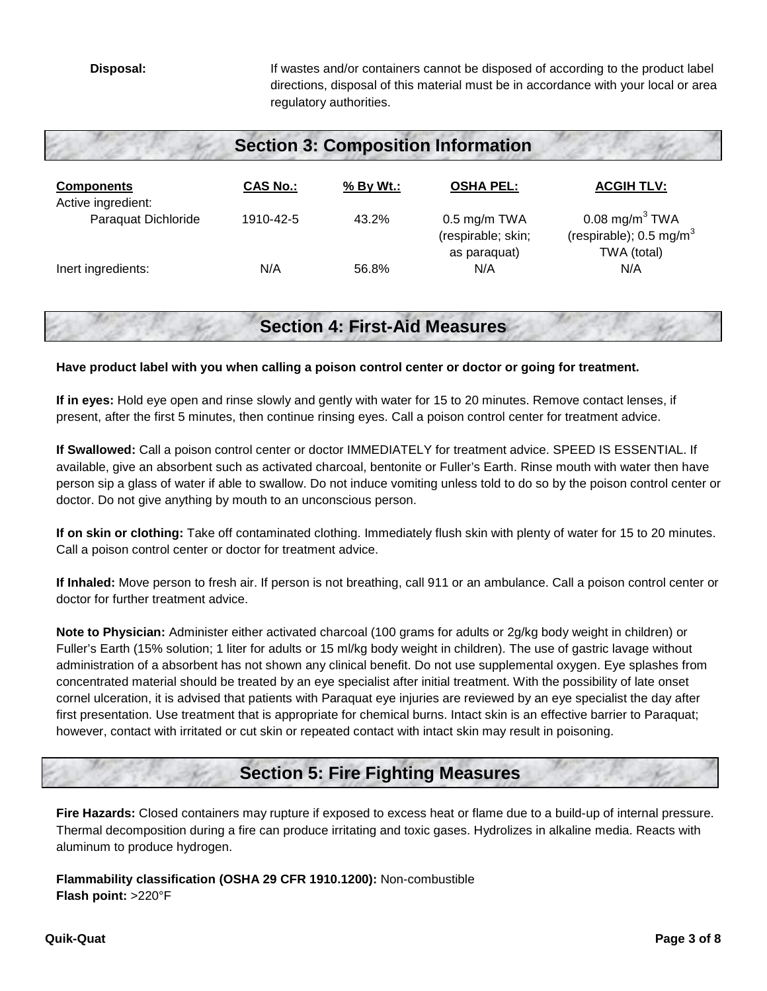**Disposal:** If wastes and/or containers cannot be disposed of according to the product label directions, disposal of this material must be in accordance with your local or area regulatory authorities.

| <b>Section 3: Composition Information</b> |                 |             |                                                      |                                                                                   |  |
|-------------------------------------------|-----------------|-------------|------------------------------------------------------|-----------------------------------------------------------------------------------|--|
| <b>Components</b><br>Active ingredient:   | <b>CAS No.:</b> | $%$ By Wt.: | <b>OSHA PEL:</b>                                     | <b>ACGIH TLV:</b>                                                                 |  |
| Paraquat Dichloride                       | 1910-42-5       | 43.2%       | $0.5$ mg/m TWA<br>(respirable; skin;<br>as paraquat) | $0.08$ mg/m <sup>3</sup> TWA<br>(respirable); $0.5 \text{ mg/m}^3$<br>TWA (total) |  |
| Inert ingredients:                        | N/A             | 56.8%       | N/A                                                  | N/A                                                                               |  |

# **Section 4: First-Aid Measures**

#### **Have product label with you when calling a poison control center or doctor or going for treatment.**

**If in eyes:** Hold eye open and rinse slowly and gently with water for 15 to 20 minutes. Remove contact lenses, if present, after the first 5 minutes, then continue rinsing eyes. Call a poison control center for treatment advice.

**If Swallowed:** Call a poison control center or doctor IMMEDIATELY for treatment advice. SPEED IS ESSENTIAL. If available, give an absorbent such as activated charcoal, bentonite or Fuller's Earth. Rinse mouth with water then have person sip a glass of water if able to swallow. Do not induce vomiting unless told to do so by the poison control center or doctor. Do not give anything by mouth to an unconscious person.

**If on skin or clothing:** Take off contaminated clothing. Immediately flush skin with plenty of water for 15 to 20 minutes. Call a poison control center or doctor for treatment advice.

**If Inhaled:** Move person to fresh air. If person is not breathing, call 911 or an ambulance. Call a poison control center or doctor for further treatment advice.

**Note to Physician:** Administer either activated charcoal (100 grams for adults or 2g/kg body weight in children) or Fuller's Earth (15% solution; 1 liter for adults or 15 ml/kg body weight in children). The use of gastric lavage without administration of a absorbent has not shown any clinical benefit. Do not use supplemental oxygen. Eye splashes from concentrated material should be treated by an eye specialist after initial treatment. With the possibility of late onset cornel ulceration, it is advised that patients with Paraquat eye injuries are reviewed by an eye specialist the day after first presentation. Use treatment that is appropriate for chemical burns. Intact skin is an effective barrier to Paraquat; however, contact with irritated or cut skin or repeated contact with intact skin may result in poisoning.

# **Section 5: Fire Fighting Measures**

**Fire Hazards:** Closed containers may rupture if exposed to excess heat or flame due to a build-up of internal pressure. Thermal decomposition during a fire can produce irritating and toxic gases. Hydrolizes in alkaline media. Reacts with aluminum to produce hydrogen.

**Flammability classification (OSHA 29 CFR 1910.1200):** Non-combustible **Flash point:** >220°F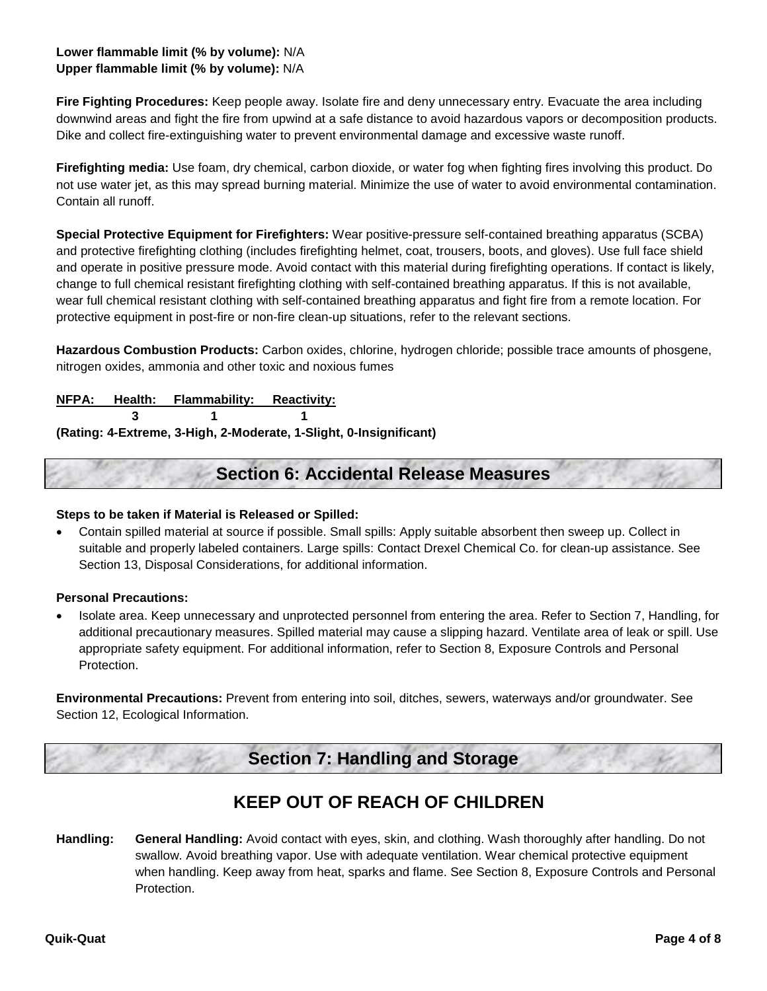## **Lower flammable limit (% by volume):** N/A **Upper flammable limit (% by volume):** N/A

**Fire Fighting Procedures:** Keep people away. Isolate fire and deny unnecessary entry. Evacuate the area including downwind areas and fight the fire from upwind at a safe distance to avoid hazardous vapors or decomposition products. Dike and collect fire-extinguishing water to prevent environmental damage and excessive waste runoff.

**Firefighting media:** Use foam, dry chemical, carbon dioxide, or water fog when fighting fires involving this product. Do not use water jet, as this may spread burning material. Minimize the use of water to avoid environmental contamination. Contain all runoff.

**Special Protective Equipment for Firefighters:** Wear positive-pressure self-contained breathing apparatus (SCBA) and protective firefighting clothing (includes firefighting helmet, coat, trousers, boots, and gloves). Use full face shield and operate in positive pressure mode. Avoid contact with this material during firefighting operations. If contact is likely, change to full chemical resistant firefighting clothing with self-contained breathing apparatus. If this is not available, wear full chemical resistant clothing with self-contained breathing apparatus and fight fire from a remote location. For protective equipment in post-fire or non-fire clean-up situations, refer to the relevant sections.

**Hazardous Combustion Products:** Carbon oxides, chlorine, hydrogen chloride; possible trace amounts of phosgene, nitrogen oxides, ammonia and other toxic and noxious fumes

**NFPA: Health: Flammability: Reactivity:**

**3 1 1**

**(Rating: 4-Extreme, 3-High, 2-Moderate, 1-Slight, 0-Insignificant)**

## **Section 6: Accidental Release Measures**

#### **Steps to be taken if Material is Released or Spilled:**

• Contain spilled material at source if possible. Small spills: Apply suitable absorbent then sweep up. Collect in suitable and properly labeled containers. Large spills: Contact Drexel Chemical Co. for clean-up assistance. See Section 13, Disposal Considerations, for additional information.

#### **Personal Precautions:**

• Isolate area. Keep unnecessary and unprotected personnel from entering the area. Refer to Section 7, Handling, for additional precautionary measures. Spilled material may cause a slipping hazard. Ventilate area of leak or spill. Use appropriate safety equipment. For additional information, refer to Section 8, Exposure Controls and Personal **Protection** 

**Environmental Precautions:** Prevent from entering into soil, ditches, sewers, waterways and/or groundwater. See Section 12, Ecological Information.

# **Section 7: Handling and Storage**

# **KEEP OUT OF REACH OF CHILDREN**

**Handling: General Handling:** Avoid contact with eyes, skin, and clothing. Wash thoroughly after handling. Do not swallow. Avoid breathing vapor. Use with adequate ventilation. Wear chemical protective equipment when handling. Keep away from heat, sparks and flame. See Section 8, Exposure Controls and Personal Protection.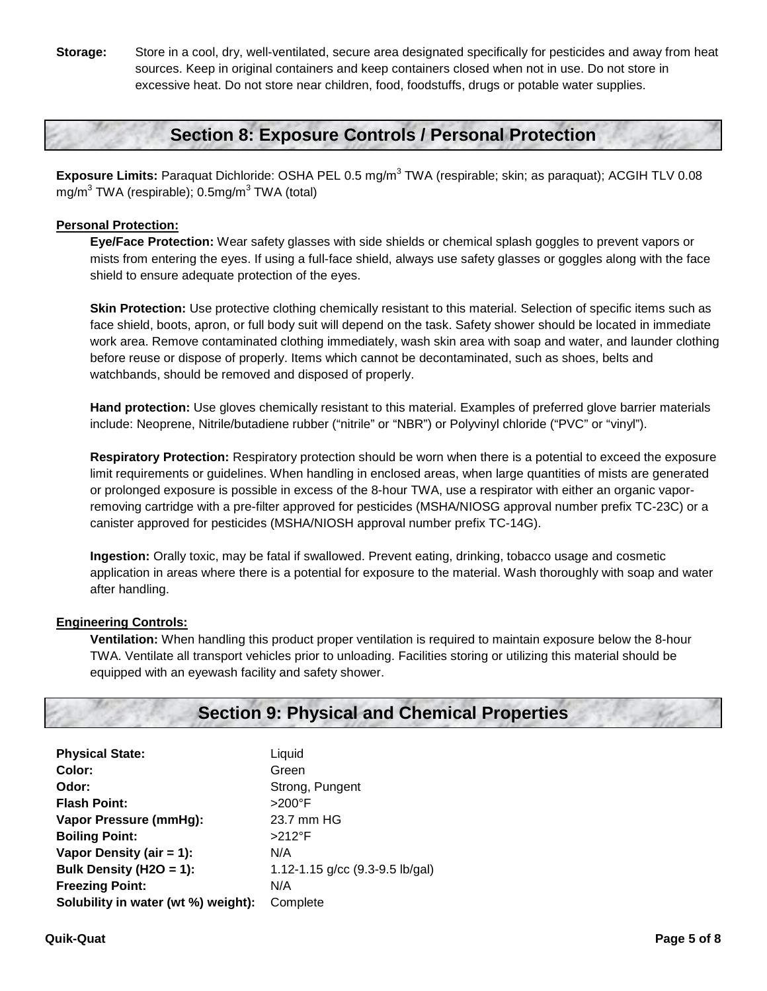**Storage:** Store in a cool, dry, well-ventilated, secure area designated specifically for pesticides and away from heat sources. Keep in original containers and keep containers closed when not in use. Do not store in excessive heat. Do not store near children, food, foodstuffs, drugs or potable water supplies.

# **Section 8: Exposure Controls / Personal Protection**

**Exposure Limits:** Paraquat Dichloride: OSHA PEL 0.5 mg/m<sup>3</sup> TWA (respirable; skin; as paraquat); ACGIH TLV 0.08 mg/m<sup>3</sup> TWA (respirable);  $0.5$ mg/m<sup>3</sup> TWA (total)

### **Personal Protection:**

**Eye/Face Protection:** Wear safety glasses with side shields or chemical splash goggles to prevent vapors or mists from entering the eyes. If using a full-face shield, always use safety glasses or goggles along with the face shield to ensure adequate protection of the eyes.

**Skin Protection:** Use protective clothing chemically resistant to this material. Selection of specific items such as face shield, boots, apron, or full body suit will depend on the task. Safety shower should be located in immediate work area. Remove contaminated clothing immediately, wash skin area with soap and water, and launder clothing before reuse or dispose of properly. Items which cannot be decontaminated, such as shoes, belts and watchbands, should be removed and disposed of properly.

**Hand protection:** Use gloves chemically resistant to this material. Examples of preferred glove barrier materials include: Neoprene, Nitrile/butadiene rubber ("nitrile" or "NBR") or Polyvinyl chloride ("PVC" or "vinyl").

**Respiratory Protection:** Respiratory protection should be worn when there is a potential to exceed the exposure limit requirements or guidelines. When handling in enclosed areas, when large quantities of mists are generated or prolonged exposure is possible in excess of the 8-hour TWA, use a respirator with either an organic vaporremoving cartridge with a pre-filter approved for pesticides (MSHA/NIOSG approval number prefix TC-23C) or a canister approved for pesticides (MSHA/NIOSH approval number prefix TC-14G).

**Ingestion:** Orally toxic, may be fatal if swallowed. Prevent eating, drinking, tobacco usage and cosmetic application in areas where there is a potential for exposure to the material. Wash thoroughly with soap and water after handling.

### **Engineering Controls:**

**Ventilation:** When handling this product proper ventilation is required to maintain exposure below the 8-hour TWA. Ventilate all transport vehicles prior to unloading. Facilities storing or utilizing this material should be equipped with an eyewash facility and safety shower.

## **Section 9: Physical and Chemical Properties**

| <b>Physical State:</b>              | Liquid                            |
|-------------------------------------|-----------------------------------|
| Color:                              | Green                             |
| Odor:                               | Strong, Pungent                   |
| <b>Flash Point:</b>                 | $>200^\circ$ F                    |
| Vapor Pressure (mmHg):              | 23.7 mm HG                        |
| <b>Boiling Point:</b>               | $>212$ °F                         |
| Vapor Density (air = $1$ ):         | N/A                               |
| Bulk Density (H2O = 1):             | 1.12-1.15 $g/cc$ (9.3-9.5 lb/gal) |
| <b>Freezing Point:</b>              | N/A                               |
| Solubility in water (wt %) weight): | Complete                          |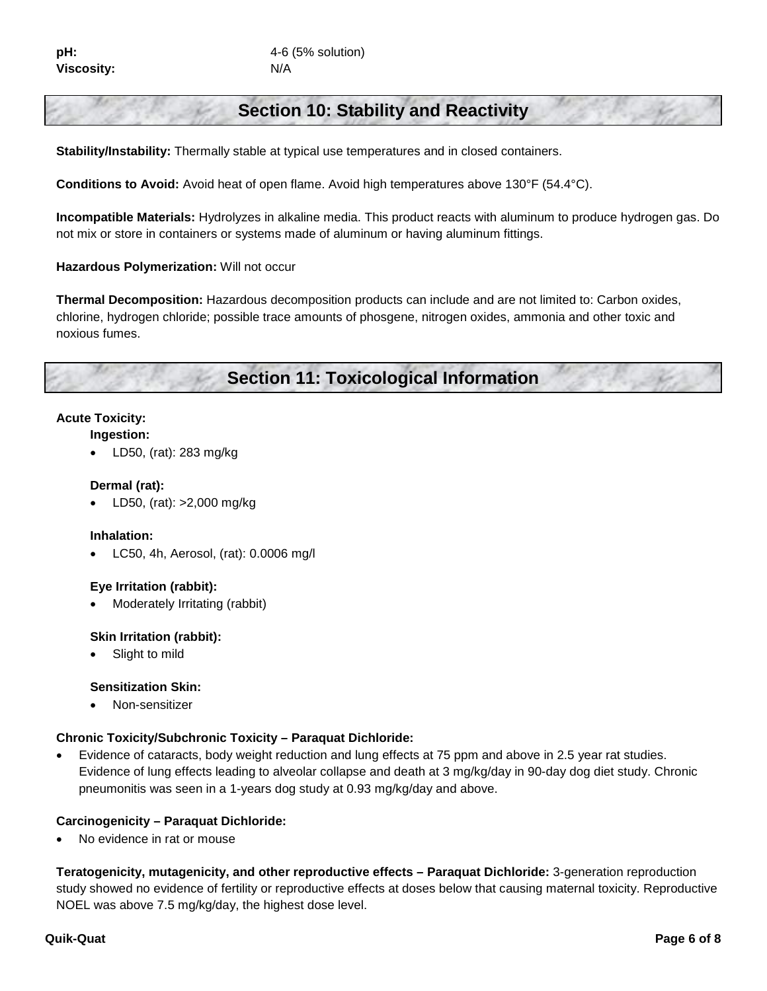# **Section 10: Stability and Reactivity**

**Stability/Instability:** Thermally stable at typical use temperatures and in closed containers.

**Conditions to Avoid:** Avoid heat of open flame. Avoid high temperatures above 130°F (54.4°C).

**Incompatible Materials:** Hydrolyzes in alkaline media. This product reacts with aluminum to produce hydrogen gas. Do not mix or store in containers or systems made of aluminum or having aluminum fittings.

#### **Hazardous Polymerization:** Will not occur

**Thermal Decomposition:** Hazardous decomposition products can include and are not limited to: Carbon oxides, chlorine, hydrogen chloride; possible trace amounts of phosgene, nitrogen oxides, ammonia and other toxic and noxious fumes.

**Section 11: Toxicological Information**

#### **Acute Toxicity:**

- **Ingestion:**
	- LD50, (rat): 283 mg/kg

#### **Dermal (rat):**

• LD50, (rat): >2,000 mg/kg

#### **Inhalation:**

• LC50, 4h, Aerosol, (rat): 0.0006 mg/l

### **Eye Irritation (rabbit):**

• Moderately Irritating (rabbit)

#### **Skin Irritation (rabbit):**

Slight to mild

#### **Sensitization Skin:**

• Non-sensitizer

#### **Chronic Toxicity/Subchronic Toxicity – Paraquat Dichloride:**

• Evidence of cataracts, body weight reduction and lung effects at 75 ppm and above in 2.5 year rat studies. Evidence of lung effects leading to alveolar collapse and death at 3 mg/kg/day in 90-day dog diet study. Chronic pneumonitis was seen in a 1-years dog study at 0.93 mg/kg/day and above.

#### **Carcinogenicity – Paraquat Dichloride:**

No evidence in rat or mouse

**Teratogenicity, mutagenicity, and other reproductive effects – Paraquat Dichloride:** 3-generation reproduction study showed no evidence of fertility or reproductive effects at doses below that causing maternal toxicity. Reproductive NOEL was above 7.5 mg/kg/day, the highest dose level.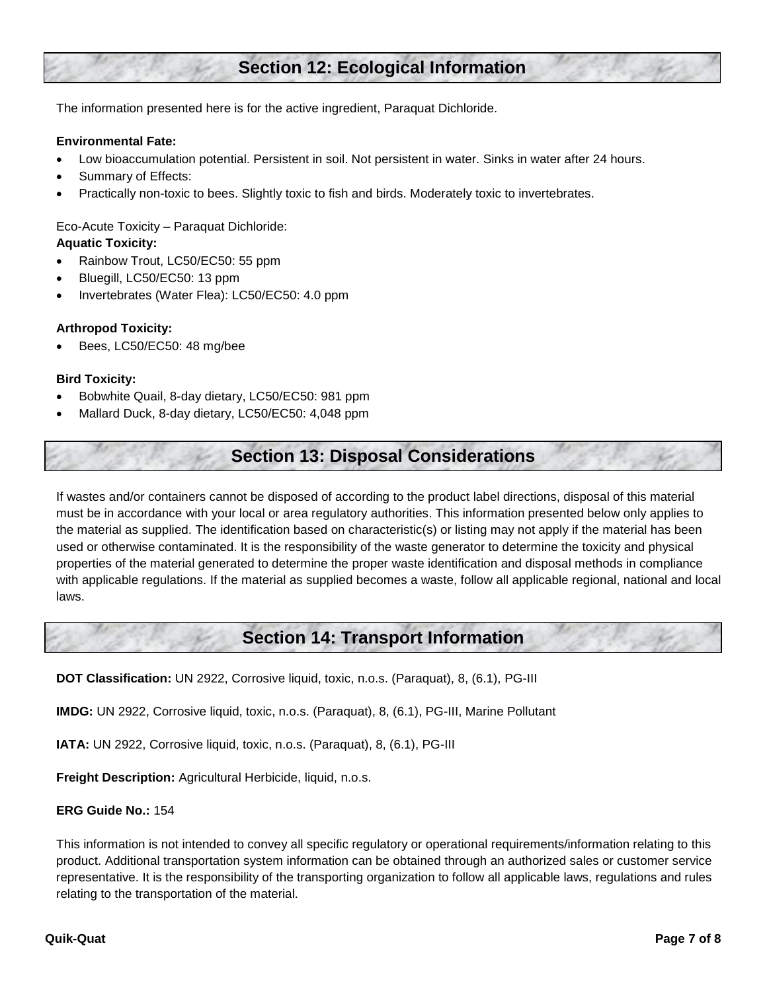# **Section 12: Ecological Information**

The information presented here is for the active ingredient, Paraquat Dichloride.

#### **Environmental Fate:**

- Low bioaccumulation potential. Persistent in soil. Not persistent in water. Sinks in water after 24 hours.
- Summary of Effects:
- Practically non-toxic to bees. Slightly toxic to fish and birds. Moderately toxic to invertebrates.

Eco-Acute Toxicity – Paraquat Dichloride: **Aquatic Toxicity:**

- Rainbow Trout, LC50/EC50: 55 ppm
- Bluegill, LC50/EC50: 13 ppm
- Invertebrates (Water Flea): LC50/EC50: 4.0 ppm

#### **Arthropod Toxicity:**

• Bees, LC50/EC50: 48 mg/bee

#### **Bird Toxicity:**

- Bobwhite Quail, 8-day dietary, LC50/EC50: 981 ppm
- Mallard Duck, 8-day dietary, LC50/EC50: 4,048 ppm

# **Section 13: Disposal Considerations**

If wastes and/or containers cannot be disposed of according to the product label directions, disposal of this material must be in accordance with your local or area regulatory authorities. This information presented below only applies to the material as supplied. The identification based on characteristic(s) or listing may not apply if the material has been used or otherwise contaminated. It is the responsibility of the waste generator to determine the toxicity and physical properties of the material generated to determine the proper waste identification and disposal methods in compliance with applicable regulations. If the material as supplied becomes a waste, follow all applicable regional, national and local laws.

## **Section 14: Transport Information**

**DOT Classification:** UN 2922, Corrosive liquid, toxic, n.o.s. (Paraquat), 8, (6.1), PG-III

**IMDG:** UN 2922, Corrosive liquid, toxic, n.o.s. (Paraquat), 8, (6.1), PG-III, Marine Pollutant

**IATA:** UN 2922, Corrosive liquid, toxic, n.o.s. (Paraquat), 8, (6.1), PG-III

**Freight Description:** Agricultural Herbicide, liquid, n.o.s.

#### **ERG Guide No.:** 154

This information is not intended to convey all specific regulatory or operational requirements/information relating to this product. Additional transportation system information can be obtained through an authorized sales or customer service representative. It is the responsibility of the transporting organization to follow all applicable laws, regulations and rules relating to the transportation of the material.